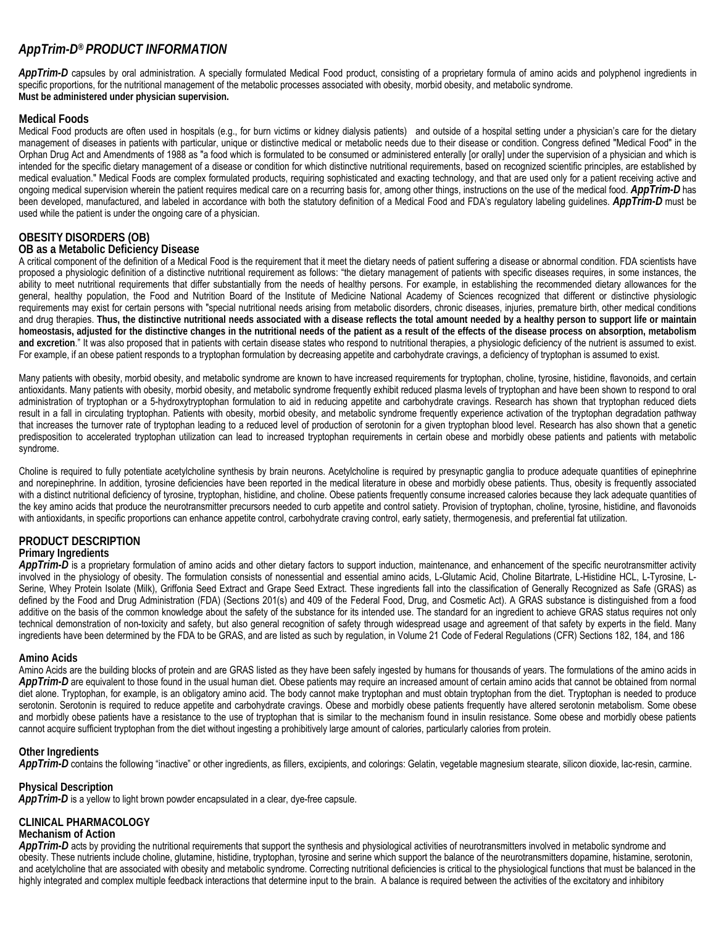# *AppTrim-D® PRODUCT INFORMATION*

AppTrim-D capsules by oral administration. A specially formulated Medical Food product, consisting of a proprietary formula of amino acids and polyphenol ingredients in specific proportions, for the nutritional management of the metabolic processes associated with obesity, morbid obesity, and metabolic syndrome. **Must be administered under physician supervision.**

## **Medical Foods**

Medical Food products are often used in hospitals (e.g., for burn victims or kidney dialysis patients) and outside of a hospital setting under a physician's care for the dietary management of diseases in patients with particular, unique or distinctive medical or metabolic needs due to their disease or condition. Congress defined "Medical Food" in the Orphan Drug Act and Amendments of 1988 as "a food which is formulated to be consumed or administered enterally [or orally] under the supervision of a physician and which is intended for the specific dietary management of a disease or condition for which distinctive nutritional requirements, based on recognized scientific principles, are established by medical evaluation." Medical Foods are complex formulated products, requiring sophisticated and exacting technology, and that are used only for a patient receiving active and ongoing medical supervision wherein the patient requires medical care on a recurring basis for, among other things, instructions on the use of the medical food. *AppTrim-D* has been developed, manufactured, and labeled in accordance with both the statutory definition of a Medical Food and FDA's regulatory labeling guidelines. *AppTrim-D* must be used while the patient is under the ongoing care of a physician.

## **OBESITY DISORDERS (OB)**

## **OB as a Metabolic Deficiency Disease**

A critical component of the definition of a Medical Food is the requirement that it meet the dietary needs of patient suffering a disease or abnormal condition. FDA scientists have proposed a physiologic definition of a distinctive nutritional requirement as follows: "the dietary management of patients with specific diseases requires, in some instances, the ability to meet nutritional requirements that differ substantially from the needs of healthy persons. For example, in establishing the recommended dietary allowances for the general, healthy population, the Food and Nutrition Board of the Institute of Medicine National Academy of Sciences recognized that different or distinctive physiologic requirements may exist for certain persons with "special nutritional needs arising from metabolic disorders, chronic diseases, injuries, premature birth, other medical conditions and drug therapies. **Thus, the distinctive nutritional needs associated with a disease reflects the total amount needed by a healthy person to support life or maintain homeostasis, adjusted for the distinctive changes in the nutritional needs of the patient as a result of the effects of the disease process on absorption, metabolism and excretion**." It was also proposed that in patients with certain disease states who respond to nutritional therapies, a physiologic deficiency of the nutrient is assumed to exist. For example, if an obese patient responds to a tryptophan formulation by decreasing appetite and carbohydrate cravings, a deficiency of tryptophan is assumed to exist.

Many patients with obesity, morbid obesity, and metabolic syndrome are known to have increased requirements for tryptophan, choline, tyrosine, histidine, flavonoids, and certain antioxidants. Many patients with obesity, morbid obesity, and metabolic syndrome frequently exhibit reduced plasma levels of tryptophan and have been shown to respond to oral administration of tryptophan or a 5-hydroxytryptophan formulation to aid in reducing appetite and carbohydrate cravings. Research has shown that tryptophan reduced diets result in a fall in circulating tryptophan. Patients with obesity, morbid obesity, and metabolic syndrome frequently experience activation of the tryptophan degradation pathway that increases the turnover rate of tryptophan leading to a reduced level of production of serotonin for a given tryptophan blood level. Research has also shown that a genetic predisposition to accelerated tryptophan utilization can lead to increased tryptophan requirements in certain obese and morbidly obese patients and patients with metabolic syndrome.

Choline is required to fully potentiate acetylcholine synthesis by brain neurons. Acetylcholine is required by presynaptic ganglia to produce adequate quantities of epinephrine and norepinephrine. In addition, tyrosine deficiencies have been reported in the medical literature in obese and morbidly obese patients. Thus, obesity is frequently associated with a distinct nutritional deficiency of tyrosine, tryptophan, histidine, and choline. Obese patients frequently consume increased calories because they lack adequate quantities of the key amino acids that produce the neurotransmitter precursors needed to curb appetite and control satiety. Provision of tryptophan, choline, tyrosine, histidine, and flavonoids with antioxidants, in specific proportions can enhance appetite control, carbohydrate craving control, early satiety, thermogenesis, and preferential fat utilization.

## **PRODUCT DESCRIPTION Primary Ingredients**

AppTrim-D is a proprietary formulation of amino acids and other dietary factors to support induction, maintenance, and enhancement of the specific neurotransmitter activity involved in the physiology of obesity. The formulation consists of nonessential and essential amino acids, L-Glutamic Acid, Choline Bitartrate, L-Histidine HCL, L-Tyrosine, L-Serine, Whey Protein Isolate (Milk), Griffonia Seed Extract and Grape Seed Extract. These ingredients fall into the classification of Generally Recognized as Safe (GRAS) as defined by the Food and Drug Administration (FDA) (Sections 201(s) and 409 of the Federal Food, Drug, and Cosmetic Act). A GRAS substance is distinguished from a food additive on the basis of the common knowledge about the safety of the substance for its intended use. The standard for an ingredient to achieve GRAS status requires not only technical demonstration of non-toxicity and safety, but also general recognition of safety through widespread usage and agreement of that safety by experts in the field. Many ingredients have been determined by the FDA to be GRAS, and are listed as such by regulation, in Volume 21 Code of Federal Regulations (CFR) Sections 182, 184, and 186

## **Amino Acids**

Amino Acids are the building blocks of protein and are GRAS listed as they have been safely ingested by humans for thousands of years. The formulations of the amino acids in AppTrim-Dare equivalent to those found in the usual human diet. Obese patients may require an increased amount of certain amino acids that cannot be obtained from normal diet alone. Tryptophan, for example, is an obligatory amino acid. The body cannot make tryptophan and must obtain tryptophan from the diet. Tryptophan is needed to produce serotonin. Serotonin is required to reduce appetite and carbohydrate cravings. Obese and morbidly obese patients frequently have altered serotonin metabolism. Some obese and morbidly obese patients have a resistance to the use of tryptophan that is similar to the mechanism found in insulin resistance. Some obese and morbidly obese patients cannot acquire sufficient tryptophan from the diet without ingesting a prohibitively large amount of calories, particularly calories from protein.

## **Other Ingredients**

App Trim-D contains the following "inactive" or other ingredients, as fillers, excipients, and colorings: Gelatin, vegetable magnesium stearate, silicon dioxide, lac-resin, carmine.

## **Physical Description**

*AppTrim-D* is a yellow to light brown powder encapsulated in a clear, dye-free capsule.

## **CLINICAL PHARMACOLOGY**

#### **Mechanism of Action**

AppTrim-D acts by providing the nutritional requirements that support the synthesis and physiological activities of neurotransmitters involved in metabolic syndrome and obesity. These nutrients include choline, glutamine, histidine, tryptophan, tyrosine and serine which support the balance of the neurotransmitters dopamine, histamine, serotonin, and acetylcholine that are associated with obesity and metabolic syndrome. Correcting nutritional deficiencies is critical to the physiological functions that must be balanced in the highly integrated and complex multiple feedback interactions that determine input to the brain. A balance is required between the activities of the excitatory and inhibitory